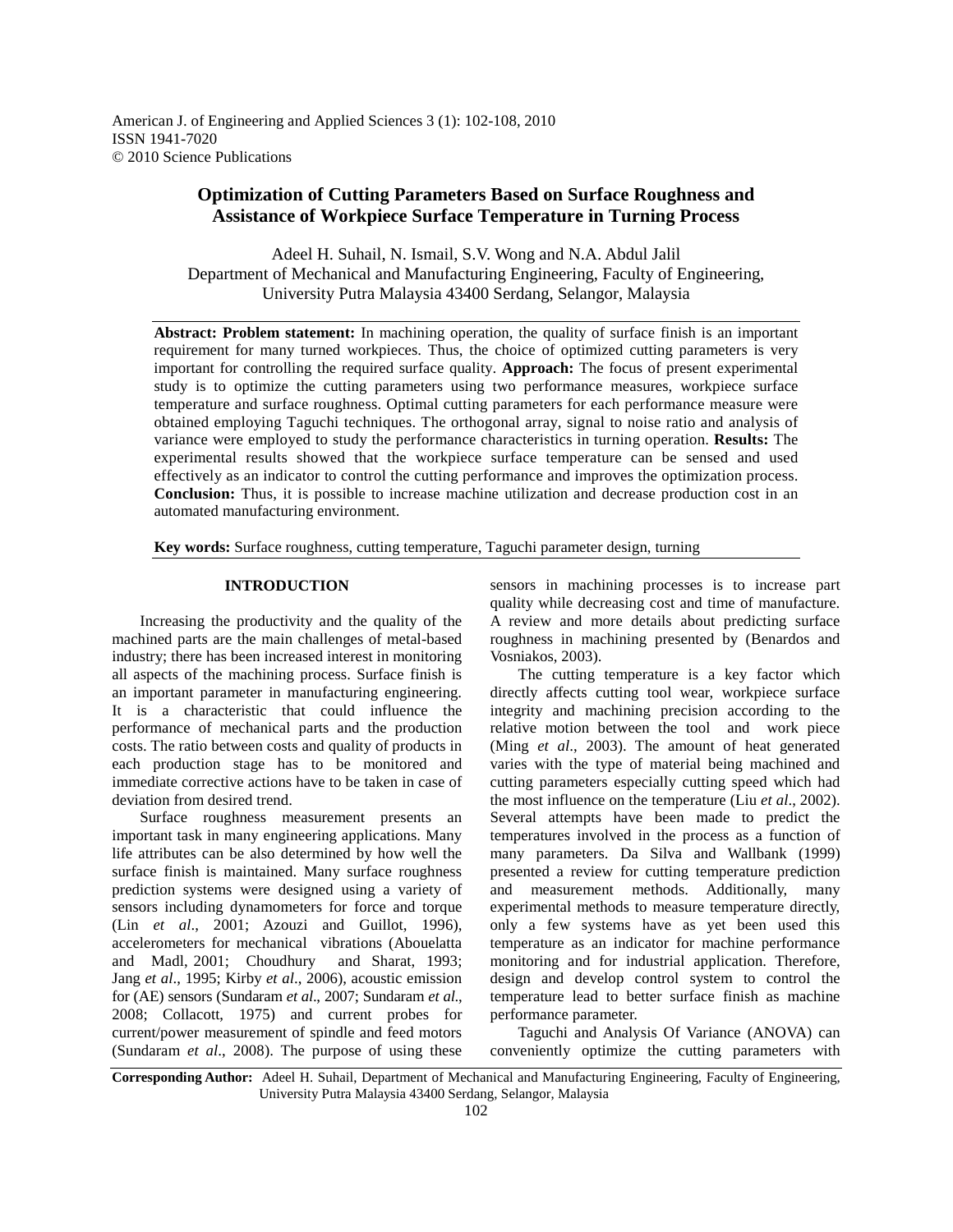American J. of Engineering and Applied Sciences 3 (1): 102-108, 2010 ISSN 1941-7020 © 2010 Science Publications

# **Optimization of Cutting Parameters Based on Surface Roughness and Assistance of Workpiece Surface Temperature in Turning Process**

Adeel H. Suhail, N. Ismail, S.V. Wong and N.A. Abdul Jalil Department of Mechanical and Manufacturing Engineering, Faculty of Engineering, University Putra Malaysia 43400 Serdang, Selangor, Malaysia

**Abstract: Problem statement:** In machining operation, the quality of surface finish is an important requirement for many turned workpieces. Thus, the choice of optimized cutting parameters is very important for controlling the required surface quality. **Approach:** The focus of present experimental study is to optimize the cutting parameters using two performance measures, workpiece surface temperature and surface roughness. Optimal cutting parameters for each performance measure were obtained employing Taguchi techniques. The orthogonal array, signal to noise ratio and analysis of variance were employed to study the performance characteristics in turning operation. **Results:** The experimental results showed that the workpiece surface temperature can be sensed and used effectively as an indicator to control the cutting performance and improves the optimization process. **Conclusion:** Thus, it is possible to increase machine utilization and decrease production cost in an automated manufacturing environment.

**Key words:** Surface roughness, cutting temperature, Taguchi parameter design, turning

## **INTRODUCTION**

 Increasing the productivity and the quality of the machined parts are the main challenges of metal-based industry; there has been increased interest in monitoring all aspects of the machining process. Surface finish is an important parameter in manufacturing engineering. It is a characteristic that could influence the performance of mechanical parts and the production costs. The ratio between costs and quality of products in each production stage has to be monitored and immediate corrective actions have to be taken in case of deviation from desired trend.

 Surface roughness measurement presents an important task in many engineering applications. Many life attributes can be also determined by how well the surface finish is maintained. Many surface roughness prediction systems were designed using a variety of sensors including dynamometers for force and torque (Lin *et al*., 2001; Azouzi and Guillot, 1996), accelerometers for mechanical vibrations (Abouelatta and Madl, 2001; Choudhury and Sharat, 1993; Jang *et al*., 1995; Kirby *et al*., 2006), acoustic emission for (AE) sensors (Sundaram *et al*., 2007; Sundaram *et al*., 2008; Collacott, 1975) and current probes for current/power measurement of spindle and feed motors (Sundaram *et al*., 2008). The purpose of using these

sensors in machining processes is to increase part quality while decreasing cost and time of manufacture. A review and more details about predicting surface roughness in machining presented by (Benardos and Vosniakos, 2003).

 The cutting temperature is a key factor which directly affects cutting tool wear, workpiece surface integrity and machining precision according to the relative motion between the tool and work piece (Ming *et al*., 2003). The amount of heat generated varies with the type of material being machined and cutting parameters especially cutting speed which had the most influence on the temperature (Liu *et al*., 2002). Several attempts have been made to predict the temperatures involved in the process as a function of many parameters. Da Silva and Wallbank (1999) presented a review for cutting temperature prediction and measurement methods. Additionally, many experimental methods to measure temperature directly, only a few systems have as yet been used this temperature as an indicator for machine performance monitoring and for industrial application. Therefore, design and develop control system to control the temperature lead to better surface finish as machine performance parameter.

 Taguchi and Analysis Of Variance (ANOVA) can conveniently optimize the cutting parameters with

**Corresponding Author:** Adeel H. Suhail, Department of Mechanical and Manufacturing Engineering, Faculty of Engineering, University Putra Malaysia 43400 Serdang, Selangor, Malaysia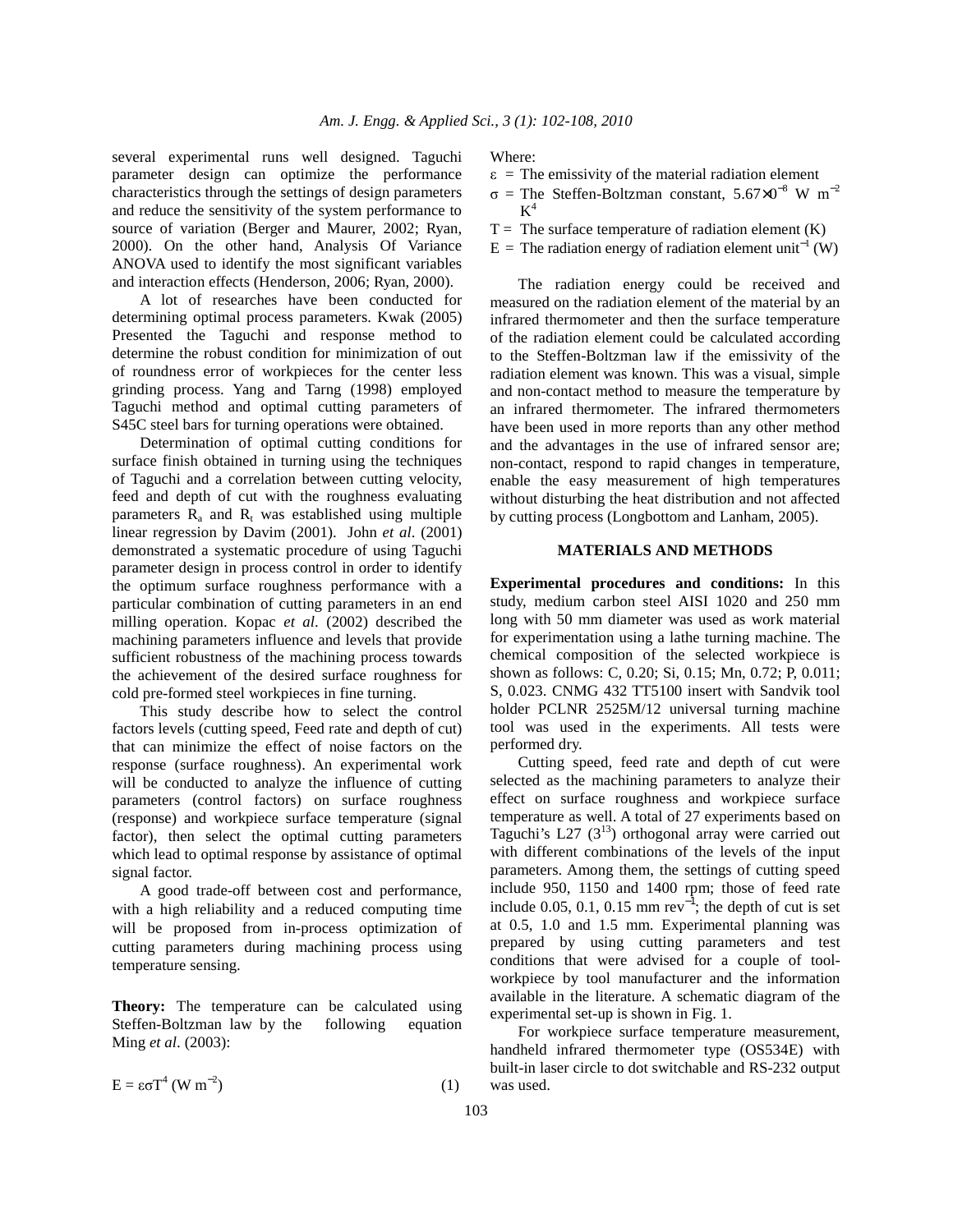several experimental runs well designed. Taguchi parameter design can optimize the performance characteristics through the settings of design parameters and reduce the sensitivity of the system performance to source of variation (Berger and Maurer, 2002; Ryan, 2000). On the other hand, Analysis Of Variance ANOVA used to identify the most significant variables and interaction effects (Henderson, 2006; Ryan, 2000).

 A lot of researches have been conducted for determining optimal process parameters. Kwak (2005) Presented the Taguchi and response method to determine the robust condition for minimization of out of roundness error of workpieces for the center less grinding process. Yang and Tarng (1998) employed Taguchi method and optimal cutting parameters of S45C steel bars for turning operations were obtained.

 Determination of optimal cutting conditions for surface finish obtained in turning using the techniques of Taguchi and a correlation between cutting velocity, feed and depth of cut with the roughness evaluating parameters  $R_a$  and  $R_t$  was established using multiple linear regression by Davim (2001). John *et al*. (2001) demonstrated a systematic procedure of using Taguchi parameter design in process control in order to identify the optimum surface roughness performance with a particular combination of cutting parameters in an end milling operation. Kopac *et al*. (2002) described the machining parameters influence and levels that provide sufficient robustness of the machining process towards the achievement of the desired surface roughness for cold pre-formed steel workpieces in fine turning.

 This study describe how to select the control factors levels (cutting speed, Feed rate and depth of cut) that can minimize the effect of noise factors on the response (surface roughness). An experimental work will be conducted to analyze the influence of cutting parameters (control factors) on surface roughness (response) and workpiece surface temperature (signal factor), then select the optimal cutting parameters which lead to optimal response by assistance of optimal signal factor.

 A good trade-off between cost and performance, with a high reliability and a reduced computing time will be proposed from in-process optimization of cutting parameters during machining process using temperature sensing.

**Theory:** The temperature can be calculated using Steffen-Boltzman law by the following equation Ming *et al*. (2003):

$$
E = \varepsilon \sigma T^4 (W m^{-2})
$$
 (1)

Where:

- $\epsilon$  = The emissivity of the material radiation element
- $\sigma$  = The Steffen-Boltzman constant, 5.67×0<sup>-8</sup> W m<sup>-2</sup>  $K^4$
- $T =$ The surface temperature of radiation element (K)
- E = The radiation energy of radiation element unit<sup>-1</sup> (W)

 The radiation energy could be received and measured on the radiation element of the material by an infrared thermometer and then the surface temperature of the radiation element could be calculated according to the Steffen-Boltzman law if the emissivity of the radiation element was known. This was a visual, simple and non-contact method to measure the temperature by an infrared thermometer. The infrared thermometers have been used in more reports than any other method and the advantages in the use of infrared sensor are; non-contact, respond to rapid changes in temperature, enable the easy measurement of high temperatures without disturbing the heat distribution and not affected by cutting process (Longbottom and Lanham, 2005).

#### **MATERIALS AND METHODS**

**Experimental procedures and conditions:** In this study, medium carbon steel AISI 1020 and 250 mm long with 50 mm diameter was used as work material for experimentation using a lathe turning machine. The chemical composition of the selected workpiece is shown as follows: C, 0.20; Si, 0.15; Mn, 0.72; P, 0.011; S, 0.023. CNMG 432 TT5100 insert with Sandvik tool holder PCLNR 2525M/12 universal turning machine tool was used in the experiments. All tests were performed dry.

 Cutting speed, feed rate and depth of cut were selected as the machining parameters to analyze their effect on surface roughness and workpiece surface temperature as well. A total of 27 experiments based on Taguchi's L27  $(3^{13})$  orthogonal array were carried out with different combinations of the levels of the input parameters. Among them, the settings of cutting speed include 950, 1150 and 1400 rpm; those of feed rate include 0.05, 0.1, 0.15 mm rev<sup>-1</sup>; the depth of cut is set at 0.5, 1.0 and 1.5 mm. Experimental planning was prepared by using cutting parameters and test conditions that were advised for a couple of toolworkpiece by tool manufacturer and the information available in the literature. A schematic diagram of the experimental set-up is shown in Fig. 1.

 For workpiece surface temperature measurement, handheld infrared thermometer type (OS534E) with built-in laser circle to dot switchable and RS-232 output was used.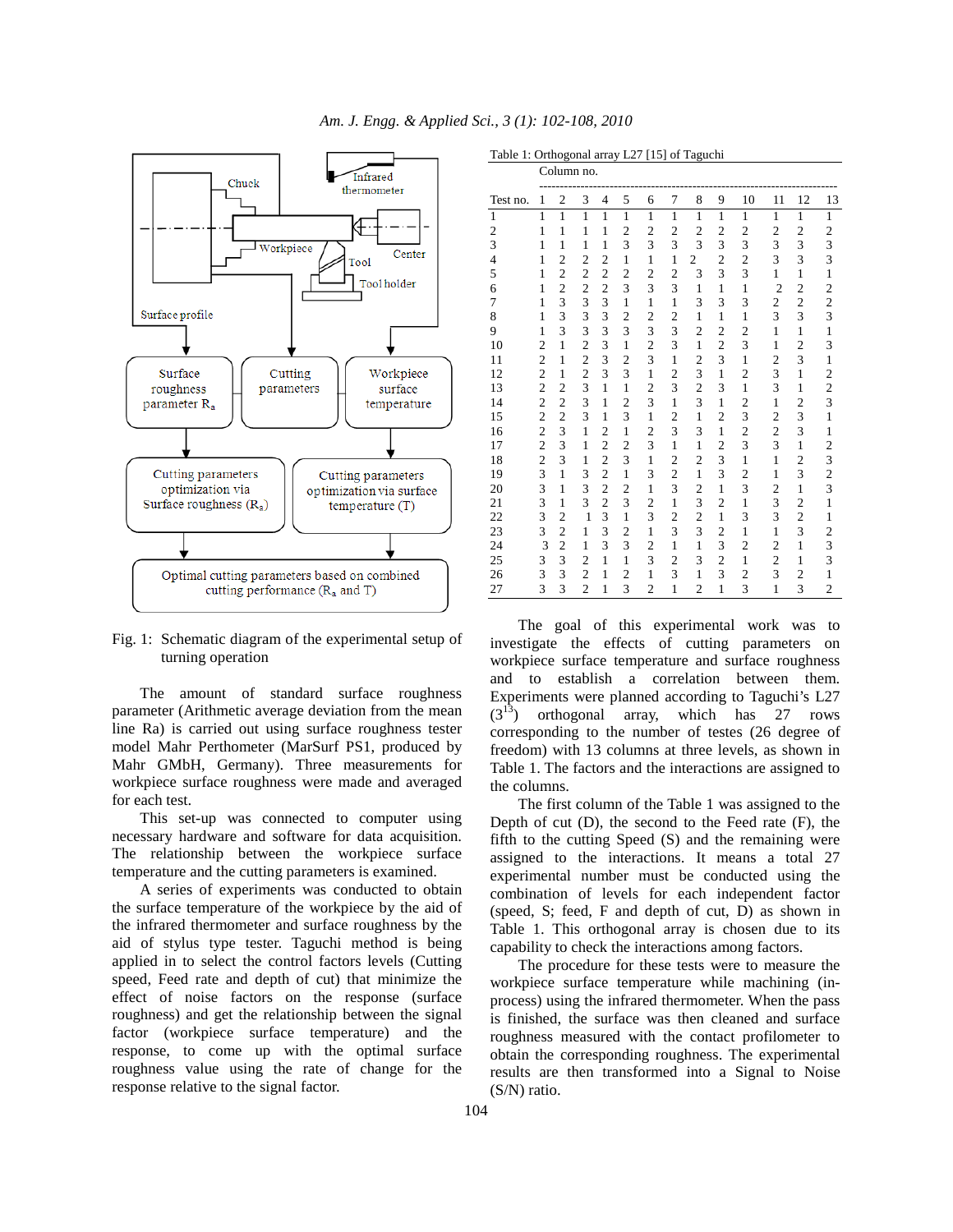

Fig. 1: Schematic diagram of the experimental setup of turning operation

 The amount of standard surface roughness parameter (Arithmetic average deviation from the mean line Ra) is carried out using surface roughness tester model Mahr Perthometer (MarSurf PS1, produced by Mahr GMbH, Germany). Three measurements for workpiece surface roughness were made and averaged for each test.

 This set-up was connected to computer using necessary hardware and software for data acquisition. The relationship between the workpiece surface temperature and the cutting parameters is examined.

 A series of experiments was conducted to obtain the surface temperature of the workpiece by the aid of the infrared thermometer and surface roughness by the aid of stylus type tester. Taguchi method is being applied in to select the control factors levels (Cutting speed, Feed rate and depth of cut) that minimize the effect of noise factors on the response (surface roughness) and get the relationship between the signal factor (workpiece surface temperature) and the response, to come up with the optimal surface roughness value using the rate of change for the response relative to the signal factor.

Table 1: Orthogonal array L27 [15] of Taguchi

|                 | Column no.     |                         |                  |                         |                         |                         |                         |                         |                         |                         |                         |                         |                                                 |
|-----------------|----------------|-------------------------|------------------|-------------------------|-------------------------|-------------------------|-------------------------|-------------------------|-------------------------|-------------------------|-------------------------|-------------------------|-------------------------------------------------|
| Test no.        | 1              | $\mathfrak{2}$          | 3                | 4                       | 5                       | 6                       | 7                       | 8                       | 9                       | 10                      | 11                      | 12                      | 13                                              |
| $\mathbf{1}$    | $\mathbf{1}$   | $\overline{1}$          | $\overline{1}$   | $\mathbf{1}$            | $\mathbf{1}$            | $\mathbf{1}$            | $\mathbf{1}$            | $\mathbf{1}$            | $\mathbf{1}$            | $\mathbf{1}$            | $\mathbf{1}$            | $\mathbf{1}$            | $\overline{1}$                                  |
| $\overline{c}$  | $\mathbf{1}$   | $\mathbf{1}$            | $\,1$            | $\mathbf{1}$            | $\overline{c}$          | $\overline{c}$          | $\overline{\mathbf{c}}$ | $\overline{c}$          | $\overline{\mathbf{c}}$ | $\overline{c}$          | $\overline{c}$          | $\overline{c}$          | $\frac{2}{3}$                                   |
| 3               | $\mathbf{1}$   | $\mathbf{1}$            | $\mathbf{1}$     | $\mathbf{1}$            | $\overline{3}$          | 3                       | 3                       | $\overline{3}$          | $\overline{\mathbf{3}}$ | 3                       | $\overline{\mathbf{3}}$ | 3                       |                                                 |
| $\overline{4}$  | $\mathbf{1}$   | $\overline{c}$          | $\overline{c}$   | $\overline{c}$          | $\mathbf{1}$            | $\,1\,$                 | $\mathbf{1}$            | $\overline{c}$          | $\overline{c}$          | $\overline{\mathbf{c}}$ | 3                       | 3                       |                                                 |
| 5               | $\mathbf{1}$   | $\overline{c}$          | $\overline{c}$   | $\overline{c}$          | $\overline{c}$          | $\frac{2}{3}$           | $\frac{2}{3}$           | 3                       | $\overline{3}$          | 3                       | $\mathbf{1}$            | $\mathbf{1}$            | $\mathbf 1$                                     |
| 6               | $\mathbf{1}$   | $\overline{c}$          |                  | $\overline{c}$          | 3                       |                         |                         | $\mathbf{1}$            | $\mathbf{1}$            | $\mathbf{1}$            | $\overline{c}$          | $\overline{\mathbf{c}}$ |                                                 |
| 7               | $\mathbf{1}$   | 3                       |                  | $\frac{3}{3}$           | $\mathbf{1}$            | $\mathbf{1}$            | $\mathbf{1}$            | 3                       | 3                       | 3                       | $\frac{2}{3}$           | $\frac{2}{3}$           | $\frac{2}{3}$                                   |
| 8               | $\mathbf{1}$   | $\overline{\mathbf{3}}$ |                  |                         | $\overline{c}$          | $\overline{c}$          | $\overline{c}$          | $\mathbf{1}$            | $\mathbf{1}$            | $\mathbf{1}$            |                         |                         |                                                 |
| 9               | $\mathbf{1}$   | 3                       |                  | 3                       | $\overline{\mathbf{3}}$ | $\frac{3}{2}$           | 3                       | $\overline{c}$          | $\overline{c}$          | $\frac{2}{3}$           | $\mathbf{1}$            | $\,1$                   | $\mathbf 1$                                     |
| 10              | $\overline{c}$ | $\,1$                   | $2333$<br>$3322$ | 3                       | $\mathbf{1}$            |                         | 3                       | $\mathbf{1}$            | $\overline{c}$          |                         | $\mathbf{1}$            | $\overline{\mathbf{c}}$ | 3                                               |
| 11              | $\overline{c}$ | $\mathbf{1}$            |                  | 3                       | $\overline{c}$          | 3                       | $\mathbf{1}$            | $\overline{\mathbf{c}}$ | $\overline{\mathbf{3}}$ | $\mathbf{1}$            | $\overline{c}$          | 3                       | $\mathbf{1}$                                    |
| 12              | $\overline{c}$ | $\mathbf{1}$            | $\frac{2}{3}$    | 3                       | $\overline{3}$          | $\mathbf{1}$            | $\overline{c}$          | $\frac{3}{2}$           | $\mathbf{1}$            | $\overline{c}$          | 3                       | $\mathbf{1}$            | $\begin{array}{c} 2 \\ 2 \\ 3 \\ 1 \end{array}$ |
| 13              | $\overline{c}$ | $\overline{c}$          |                  | $\mathbf{1}$            | $\mathbf{1}$            | $\overline{\mathbf{c}}$ | $\overline{3}$          |                         | 3                       | $\mathbf{1}$            | 3                       | $\mathbf 1$             |                                                 |
| 14              | $\overline{c}$ | $\frac{2}{2}$           | 3                | $\mathbf{1}$            | $\overline{c}$          | 3                       | $\mathbf{1}$            | $\overline{3}$          | $\mathbf{1}$            | $\frac{2}{3}$           | $\,1$                   | $\overline{c}$          |                                                 |
| 15              | $\overline{c}$ |                         | 3                | $\mathbf{1}$            | 3                       | $\mathbf{1}$            | $\overline{c}$          | $\mathbf{1}$            | $\overline{c}$          |                         | $\overline{c}$          | 3                       |                                                 |
| 16              | $\frac{2}{2}$  | $\overline{\mathbf{3}}$ | $\mathbf{1}$     | $\overline{c}$          | $\mathbf{1}$            | $\frac{2}{3}$           | 3                       | 3                       | $\,1\,$                 | $\frac{2}{3}$           | $\frac{2}{3}$           | 3                       | $\frac{1}{2}$                                   |
| 17              |                | 3                       | $\mathbf{1}$     | $\overline{c}$          | $\overline{c}$          |                         | $\mathbf{1}$            | $\mathbf{1}$            | $\overline{c}$          |                         |                         | $\mathbf{1}$            |                                                 |
| 18              | $\frac{2}{3}$  | 3                       | $\mathbf{1}$     | $\overline{c}$          | $\overline{3}$          | $\mathbf{1}$            | $\overline{c}$          | $\overline{c}$          | 3                       | $\mathbf{1}$            | $\mathbf{1}$            | $\overline{c}$          | $\begin{array}{c} 3 \\ 2 \\ 3 \\ 1 \end{array}$ |
| 19              |                | $\,1$                   | 3                | $\overline{\mathbf{c}}$ | $\mathbf{1}$            | 3                       | $\overline{c}$          | $\mathbf{1}$            | 3                       | $\overline{c}$          | $\mathbf{1}$            | 3                       |                                                 |
| 20              | $\frac{3}{3}$  | $\mathbf{1}$            | $\frac{3}{3}$    | $\frac{2}{2}$           | $\overline{c}$          | $\mathbf{1}$            | $\overline{3}$          | $\frac{2}{3}$           | $\mathbf{1}$            | 3                       | $\overline{\mathbf{c}}$ | $\,1$                   |                                                 |
| 21              |                | $\mathbf{1}$            |                  |                         | $\overline{3}$          | $\overline{c}$          | $\mathbf{1}$            |                         | $\overline{c}$          | $\mathbf{1}$            | $\overline{\mathbf{3}}$ | $\overline{c}$          |                                                 |
| $\overline{22}$ | $\frac{3}{3}$  | $\overline{c}$          | $\mathbf{1}$     | 3                       | $\mathbf{1}$            | $\frac{3}{1}$           | $\overline{c}$          | $\overline{c}$          | $\mathbf{1}$            | 3                       | 3                       | $\overline{c}$          |                                                 |
| 23              |                | $\overline{c}$          | $\mathbf{1}$     | 3                       | $\overline{c}$          |                         | 3                       | $\overline{\mathbf{3}}$ | $\overline{c}$          | $\mathbf{1}$            | $\,1$                   | 3                       |                                                 |
| 24              | 3              | $\overline{c}$          | $\mathbf{1}$     | 3                       | $\overline{3}$          | $\overline{\mathbf{c}}$ | $\mathbf{1}$            | $\,$ 1 $\,$             | 3                       | $\overline{c}$          | $\overline{c}$          | $\,$ 1 $\,$             |                                                 |
| 25              | 3              | 3                       | $\overline{c}$   | $\mathbf{1}$            | $\mathbf{1}$            | 3                       | $\overline{c}$          | 3                       | $\overline{c}$          | $\mathbf{1}$            | $\overline{c}$          | $\mathbf{1}$            | $\frac{1}{2}$ $\frac{3}{3}$ $\frac{3}{1}$       |
| 26              | 3              | 3                       | $\overline{c}$   | $\mathbf{1}$            | $\overline{c}$          | $\mathbf{1}$            | 3                       | $\mathbf{1}$            | 3                       | $\overline{c}$          | 3                       | $\overline{\mathbf{c}}$ |                                                 |
| 27              | $\overline{3}$ | $\overline{3}$          | $\overline{c}$   | $\mathbf{1}$            | 3                       | $\overline{c}$          | $\mathbf{1}$            | $\overline{c}$          | $\mathbf{1}$            | 3                       | $\mathbf{1}$            | 3                       | $\overline{c}$                                  |

 The goal of this experimental work was to investigate the effects of cutting parameters on workpiece surface temperature and surface roughness and to establish a correlation between them. Experiments were planned according to Taguchi's L27  $(3<sup>13</sup>)$  orthogonal array, which has 27 rows corresponding to the number of testes (26 degree of freedom) with 13 columns at three levels, as shown in Table 1. The factors and the interactions are assigned to the columns.

 The first column of the Table 1 was assigned to the Depth of cut (D), the second to the Feed rate (F), the fifth to the cutting Speed (S) and the remaining were assigned to the interactions. It means a total 27 experimental number must be conducted using the combination of levels for each independent factor (speed, S; feed, F and depth of cut, D) as shown in Table 1. This orthogonal array is chosen due to its capability to check the interactions among factors.

 The procedure for these tests were to measure the workpiece surface temperature while machining (inprocess) using the infrared thermometer. When the pass is finished, the surface was then cleaned and surface roughness measured with the contact profilometer to obtain the corresponding roughness. The experimental results are then transformed into a Signal to Noise (S/N) ratio.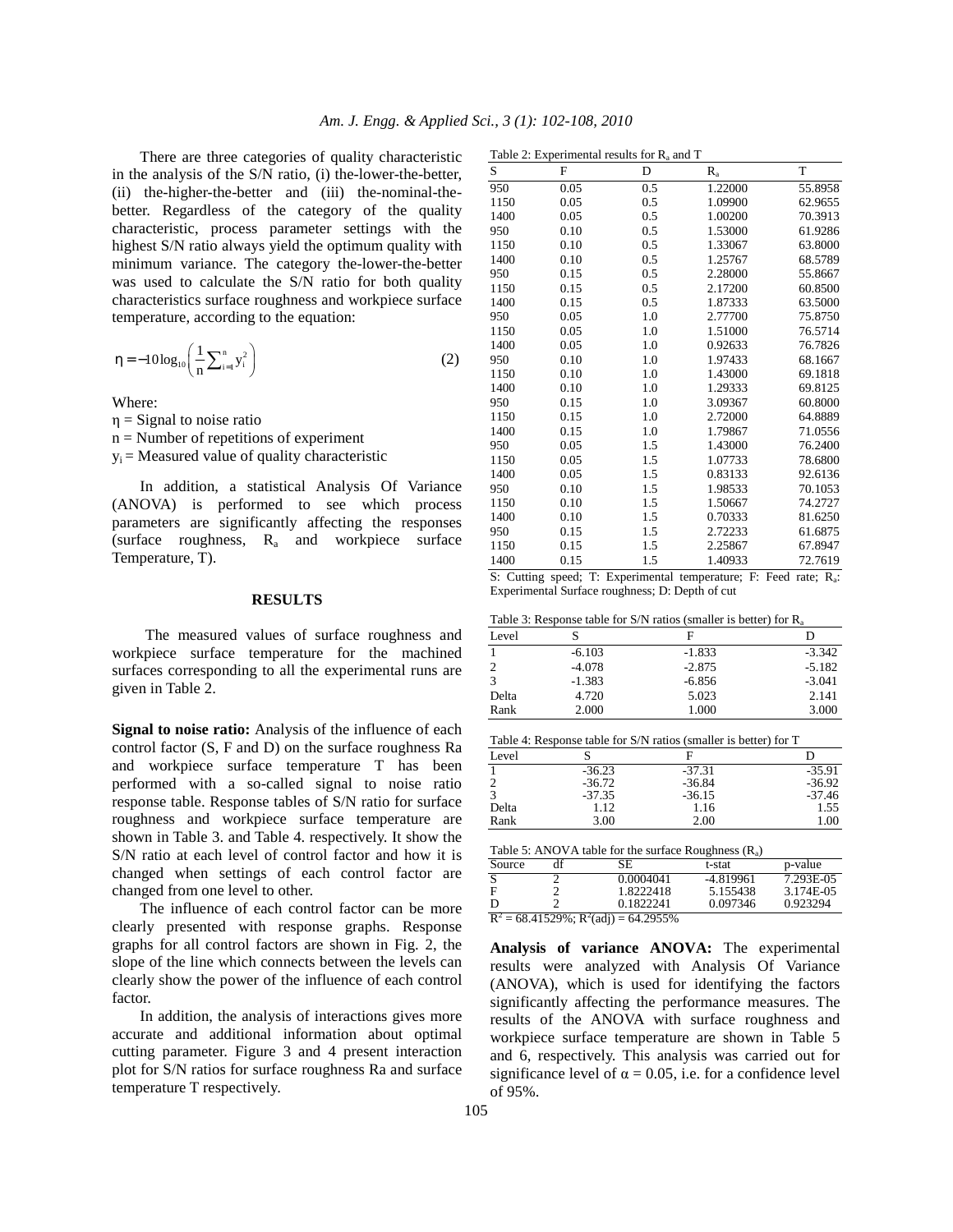There are three categories of quality characteristic in the analysis of the S/N ratio, (i) the-lower-the-better, (ii) the-higher-the-better and (iii) the-nominal-thebetter. Regardless of the category of the quality characteristic, process parameter settings with the highest S/N ratio always yield the optimum quality with minimum variance. The category the-lower-the-better was used to calculate the S/N ratio for both quality characteristics surface roughness and workpiece surface temperature, according to the equation:

$$
\eta = -10\log_{10}\left(\frac{1}{n}\sum_{i=1}^{n}y_i^2\right) \tag{2}
$$

Where:

- $\eta$  = Signal to noise ratio
- $n =$  Number of repetitions of experiment
- $y_i$  = Measured value of quality characteristic

 In addition, a statistical Analysis Of Variance (ANOVA) is performed to see which process parameters are significantly affecting the responses (surface roughness,  $R_a$  and workpiece surface Temperature, T).

#### **RESULTS**

The measured values of surface roughness and workpiece surface temperature for the machined surfaces corresponding to all the experimental runs are given in Table 2.

**Signal to noise ratio:** Analysis of the influence of each control factor (S, F and D) on the surface roughness Ra and workpiece surface temperature T has been performed with a so-called signal to noise ratio response table. Response tables of S/N ratio for surface roughness and workpiece surface temperature are shown in Table 3. and Table 4. respectively. It show the S/N ratio at each level of control factor and how it is changed when settings of each control factor are changed from one level to other.

 The influence of each control factor can be more clearly presented with response graphs. Response graphs for all control factors are shown in Fig. 2, the slope of the line which connects between the levels can clearly show the power of the influence of each control factor.

 In addition, the analysis of interactions gives more accurate and additional information about optimal cutting parameter. Figure 3 and 4 present interaction plot for S/N ratios for surface roughness Ra and surface temperature T respectively.

| Table 2: Experimental results for $R_a$ and T |  |
|-----------------------------------------------|--|
|                                               |  |

| S    | F    | D   | $R_{a}$ | T       |
|------|------|-----|---------|---------|
| 950  | 0.05 | 0.5 | 1.22000 | 55.8958 |
| 1150 | 0.05 | 0.5 | 1.09900 | 62.9655 |
| 1400 | 0.05 | 0.5 | 1.00200 | 70.3913 |
| 950  | 0.10 | 0.5 | 1.53000 | 61.9286 |
| 1150 | 0.10 | 0.5 | 1.33067 | 63.8000 |
| 1400 | 0.10 | 0.5 | 1.25767 | 68.5789 |
| 950  | 0.15 | 0.5 | 2.28000 | 55.8667 |
| 1150 | 0.15 | 0.5 | 2.17200 | 60.8500 |
| 1400 | 0.15 | 0.5 | 1.87333 | 63.5000 |
| 950  | 0.05 | 1.0 | 2.77700 | 75.8750 |
| 1150 | 0.05 | 1.0 | 1.51000 | 76.5714 |
| 1400 | 0.05 | 1.0 | 0.92633 | 76.7826 |
| 950  | 0.10 | 1.0 | 1.97433 | 68.1667 |
| 1150 | 0.10 | 1.0 | 1.43000 | 69.1818 |
| 1400 | 0.10 | 1.0 | 1.29333 | 69.8125 |
| 950  | 0.15 | 1.0 | 3.09367 | 60.8000 |
| 1150 | 0.15 | 1.0 | 2.72000 | 64.8889 |
| 1400 | 0.15 | 1.0 | 1.79867 | 71.0556 |
| 950  | 0.05 | 1.5 | 1.43000 | 76.2400 |
| 1150 | 0.05 | 1.5 | 1.07733 | 78.6800 |
| 1400 | 0.05 | 1.5 | 0.83133 | 92.6136 |
| 950  | 0.10 | 1.5 | 1.98533 | 70.1053 |
| 1150 | 0.10 | 1.5 | 1.50667 | 74.2727 |
| 1400 | 0.10 | 1.5 | 0.70333 | 81.6250 |
| 950  | 0.15 | 1.5 | 2.72233 | 61.6875 |
| 1150 | 0.15 | 1.5 | 2.25867 | 67.8947 |
| 1400 | 0.15 | 1.5 | 1.40933 | 72.7619 |

S: Cutting speed; T: Experimental temperature; F: Feed rate; Ra: Experimental Surface roughness; D: Depth of cut

|  |  |  |  | Table 3: Response table for $S/N$ ratios (smaller is better) for $R_a$ |
|--|--|--|--|------------------------------------------------------------------------|
|--|--|--|--|------------------------------------------------------------------------|

| Level          |          | F        | D        |
|----------------|----------|----------|----------|
|                | $-6.103$ | $-1.833$ | $-3.342$ |
| $\overline{2}$ | $-4.078$ | $-2.875$ | $-5.182$ |
| 3              | $-1.383$ | $-6.856$ | $-3.041$ |
| Delta          | 4.720    | 5.023    | 2.141    |
| Rank           | 2.000    | 1.000    | 3.000    |

Table 4: Response table for S/N ratios (smaller is better) for T

| Level                   |          | F        |          |
|-------------------------|----------|----------|----------|
|                         | $-36.23$ | $-37.31$ | $-35.91$ |
|                         | $-36.72$ | $-36.84$ | $-36.92$ |
| $\mathbf{\overline{3}}$ | $-37.35$ | $-36.15$ | $-37.46$ |
| Delta                   | 1.12     | 1.16     | 1.55     |
| Rank                    | 3.00     | 2.00     | 1.00     |

| Table 5: ANOVA table for the surface Roughness $(R_a)$ |  |
|--------------------------------------------------------|--|
|--------------------------------------------------------|--|

| Source                                      | df | SE        | t-stat      | p-value   |  |
|---------------------------------------------|----|-----------|-------------|-----------|--|
| S                                           |    | 0.0004041 | $-4.819961$ | 7.293E-05 |  |
| F                                           |    | 1.8222418 | 5.155438    | 3.174E-05 |  |
| D                                           |    | 0.1822241 | 0.097346    | 0.923294  |  |
| $R^2 = 68.41529\%$ ; $R^2$ (adj) = 64.2955% |    |           |             |           |  |

**Analysis of variance ANOVA:** The experimental results were analyzed with Analysis Of Variance (ANOVA), which is used for identifying the factors significantly affecting the performance measures. The results of the ANOVA with surface roughness and workpiece surface temperature are shown in Table 5 and 6, respectively. This analysis was carried out for significance level of  $\alpha = 0.05$ , i.e. for a confidence level of 95%.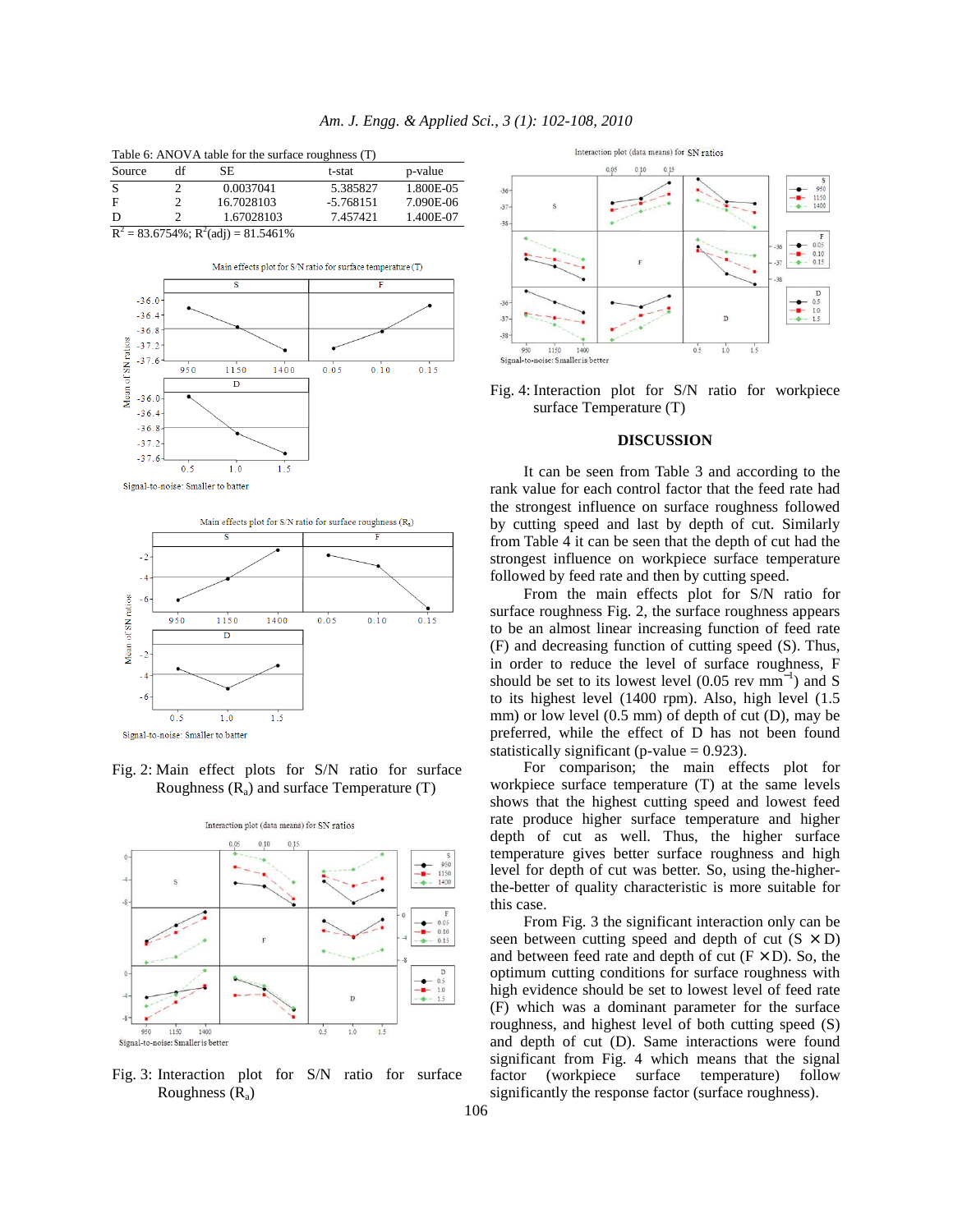| Table 6: ANOVA table for the surface roughness (T) |    |                                    |             |           |  |
|----------------------------------------------------|----|------------------------------------|-------------|-----------|--|
| Source                                             | df | SE                                 | t-stat      | p-value   |  |
| S                                                  |    | 0.0037041                          | 5.385827    | 1.800E-05 |  |
| F                                                  |    | 16.7028103                         | $-5.768151$ | 7.090E-06 |  |
| D                                                  |    | 1.67028103                         | 7.457421    | 1.400E-07 |  |
| n2                                                 |    | 02 $C7540$ , $D2(-3)$ , 01 $54C10$ |             |           |  |

 $R^2 = 83.6754\%; R^2(\text{adj}) = 81.5461\%$ 





Fig. 2: Main effect plots for S/N ratio for surface Roughness  $(R_a)$  and surface Temperature  $(T)$ 



Fig. 3: Interaction plot for S/N ratio for surface Roughness  $(R_a)$ 



Fig. 4: Interaction plot for S/N ratio for workpiece surface Temperature (T)

## **DISCUSSION**

It can be seen from Table 3 and according to the rank value for each control factor that the feed rate had the strongest influence on surface roughness followed by cutting speed and last by depth of cut. Similarly from Table 4 it can be seen that the depth of cut had the strongest influence on workpiece surface temperature followed by feed rate and then by cutting speed.

From the main effects plot for S/N ratio for surface roughness Fig. 2, the surface roughness appears to be an almost linear increasing function of feed rate (F) and decreasing function of cutting speed (S). Thus, in order to reduce the level of surface roughness, F should be set to its lowest level  $(0.05 \text{ rev mm}^{-1})$  and S to its highest level (1400 rpm). Also, high level (1.5 mm) or low level (0.5 mm) of depth of cut (D), may be preferred, while the effect of D has not been found statistically significant (p-value  $= 0.923$ ).

For comparison; the main effects plot for workpiece surface temperature (T) at the same levels shows that the highest cutting speed and lowest feed rate produce higher surface temperature and higher depth of cut as well. Thus, the higher surface temperature gives better surface roughness and high level for depth of cut was better. So, using the-higherthe-better of quality characteristic is more suitable for this case.

From Fig. 3 the significant interaction only can be seen between cutting speed and depth of cut  $(S \times D)$ and between feed rate and depth of cut  $(F \times D)$ . So, the optimum cutting conditions for surface roughness with high evidence should be set to lowest level of feed rate (F) which was a dominant parameter for the surface roughness, and highest level of both cutting speed (S) and depth of cut (D). Same interactions were found significant from Fig. 4 which means that the signal factor (workpiece surface temperature) follow significantly the response factor (surface roughness).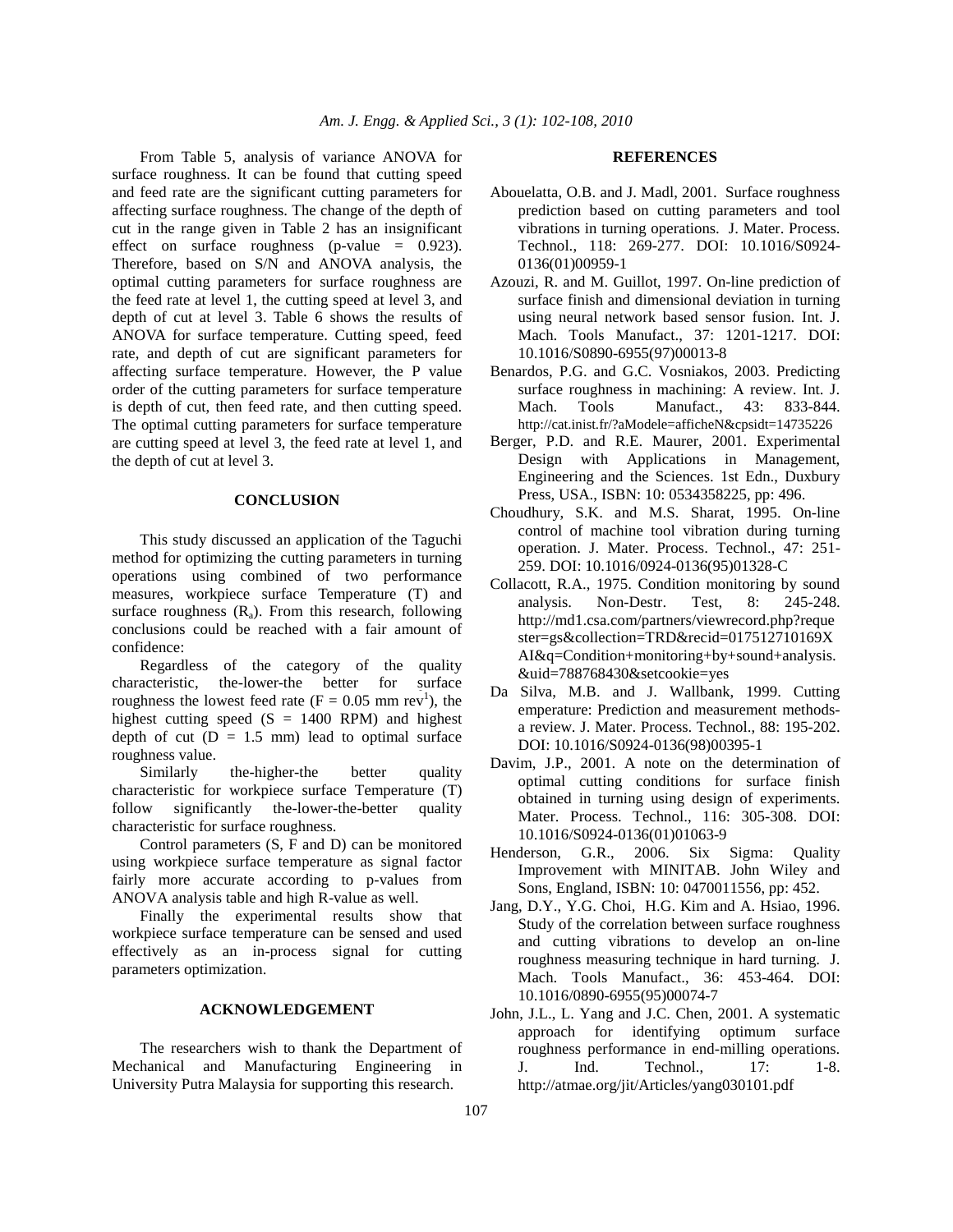From Table 5, analysis of variance ANOVA for surface roughness. It can be found that cutting speed and feed rate are the significant cutting parameters for affecting surface roughness. The change of the depth of cut in the range given in Table 2 has an insignificant effect on surface roughness (p-value  $= 0.923$ ). Therefore, based on S/N and ANOVA analysis, the optimal cutting parameters for surface roughness are the feed rate at level 1, the cutting speed at level 3, and depth of cut at level 3. Table 6 shows the results of ANOVA for surface temperature. Cutting speed, feed rate, and depth of cut are significant parameters for affecting surface temperature. However, the P value order of the cutting parameters for surface temperature is depth of cut, then feed rate, and then cutting speed. The optimal cutting parameters for surface temperature are cutting speed at level 3, the feed rate at level 1, and the depth of cut at level 3.

## **CONCLUSION**

 This study discussed an application of the Taguchi method for optimizing the cutting parameters in turning operations using combined of two performance measures, workpiece surface Temperature (T) and surface roughness  $(R_a)$ . From this research, following conclusions could be reached with a fair amount of confidence:

 Regardless of the category of the quality characteristic, the-lower-the better for surface roughness the lowest feed rate ( $F = 0.05$  mm rev<sup>1</sup>), the highest cutting speed  $(S = 1400$  RPM) and highest depth of cut  $(D = 1.5$  mm) lead to optimal surface roughness value.

 Similarly the-higher-the better quality characteristic for workpiece surface Temperature (T) follow significantly the-lower-the-better quality characteristic for surface roughness.

 Control parameters (S, F and D) can be monitored using workpiece surface temperature as signal factor fairly more accurate according to p-values from ANOVA analysis table and high R-value as well.

 Finally the experimental results show that workpiece surface temperature can be sensed and used effectively as an in-process signal for cutting parameters optimization.

## **ACKNOWLEDGEMENT**

 The researchers wish to thank the Department of Mechanical and Manufacturing Engineering in University Putra Malaysia for supporting this research.

#### **REFERENCES**

- Abouelatta, O.B. and J. Madl, 2001. Surface roughness prediction based on cutting parameters and tool vibrations in turning operations. J. Mater. Process. Technol., 118: 269-277. DOI: 10.1016/S0924- 0136(01)00959-1
- Azouzi, R. and M. Guillot, 1997. On-line prediction of surface finish and dimensional deviation in turning using neural network based sensor fusion. Int. J. Mach. Tools Manufact., 37: 1201-1217. DOI: 10.1016/S0890-6955(97)00013-8
- Benardos, P.G. and G.C. Vosniakos, 2003. Predicting surface roughness in machining: A review. Int. J. Mach. Tools Manufact., 43: 833-844. http://cat.inist.fr/?aModele=afficheN&cpsidt=14735226
- Berger, P.D. and R.E. Maurer, 2001. Experimental Design with Applications in Management, Engineering and the Sciences. 1st Edn., Duxbury Press, USA., ISBN: 10: 0534358225, pp: 496.
- Choudhury, S.K. and M.S. Sharat, 1995. On-line control of machine tool vibration during turning operation. J. Mater. Process. Technol., 47: 251- 259. DOI: 10.1016/0924-0136(95)01328-C
- Collacott, R.A., 1975. Condition monitoring by sound analysis. Non-Destr. Test, 8: 245-248. http://md1.csa.com/partners/viewrecord.php?reque ster=gs&collection=TRD&recid=017512710169X AI&q=Condition+monitoring+by+sound+analysis. &uid=788768430&setcookie=yes
- Da Silva, M.B. and J. Wallbank, 1999. Cutting emperature: Prediction and measurement methodsa review. J. Mater. Process. Technol., 88: 195-202. DOI: 10.1016/S0924-0136(98)00395-1
- Davim, J.P., 2001. A note on the determination of optimal cutting conditions for surface finish obtained in turning using design of experiments. Mater. Process. Technol., 116: 305-308. DOI: 10.1016/S0924-0136(01)01063-9
- Henderson, G.R., 2006. Six Sigma: Quality Improvement with MINITAB. John Wiley and Sons, England, ISBN: 10: 0470011556, pp: 452.
- Jang, D.Y., Y.G. Choi, H.G. Kim and A. Hsiao, 1996. Study of the correlation between surface roughness and cutting vibrations to develop an on-line roughness measuring technique in hard turning. J. Mach. Tools Manufact., 36: 453-464. DOI: 10.1016/0890-6955(95)00074-7
- John, J.L., L. Yang and J.C. Chen, 2001. A systematic approach for identifying optimum surface roughness performance in end-milling operations. J. Ind. Technol., 17: 1-8. http://atmae.org/jit/Articles/yang030101.pdf